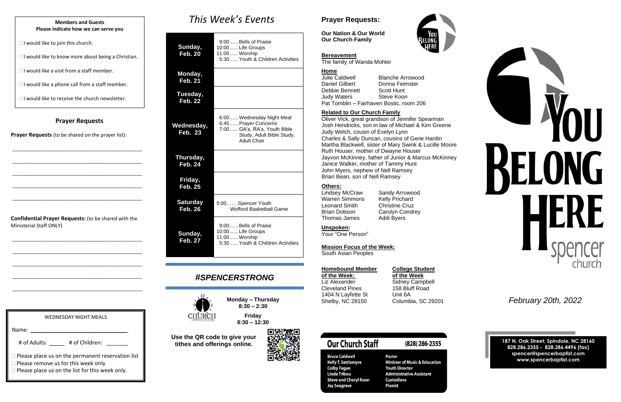### **Prayer Requests**

**Prayer Requests** (to be shared on the prayer list):

\_\_\_\_\_\_\_\_\_\_\_\_\_\_\_\_\_\_\_\_\_\_\_\_\_\_\_\_\_\_\_\_\_\_\_\_\_\_\_\_\_\_\_\_\_\_\_\_\_\_\_\_

\_\_\_\_\_\_\_\_\_\_\_\_\_\_\_\_\_\_\_\_\_\_\_\_\_\_\_\_\_\_\_\_\_\_\_\_\_\_\_\_\_\_\_\_\_\_\_\_\_\_\_\_

\_\_\_\_\_\_\_\_\_\_\_\_\_\_\_\_\_\_\_\_\_\_\_\_\_\_\_\_\_\_\_\_\_\_\_\_\_\_\_\_\_\_\_\_\_\_\_\_\_\_\_\_

\_\_\_\_\_\_\_\_\_\_\_\_\_\_\_\_\_\_\_\_\_\_\_\_\_\_\_\_\_\_\_\_\_\_\_\_\_\_\_\_\_\_\_\_\_\_\_\_\_\_\_\_

\_\_\_\_\_\_\_\_\_\_\_\_\_\_\_\_\_\_\_\_\_\_\_\_\_\_\_\_\_\_\_\_\_\_\_\_\_\_\_\_\_\_\_\_\_\_\_\_\_\_\_\_

**Confidential Prayer Requests:** (to be shared with the Ministerial Staff ONLY)

\_\_\_\_\_\_\_\_\_\_\_\_\_\_\_\_\_\_\_\_\_\_\_\_\_\_\_\_\_\_\_\_\_\_\_\_\_\_\_\_\_\_\_\_\_\_\_\_\_\_\_\_

\_\_\_\_\_\_\_\_\_\_\_\_\_\_\_\_\_\_\_\_\_\_\_\_\_\_\_\_\_\_\_\_\_\_\_\_\_\_\_\_\_\_\_\_\_\_\_\_\_\_\_\_

\_\_\_\_\_\_\_\_\_\_\_\_\_\_\_\_\_\_\_\_\_\_\_\_\_\_\_\_\_\_\_\_\_\_\_\_\_\_\_\_\_\_\_\_\_\_\_\_\_\_\_\_

\_\_\_\_\_\_\_\_\_\_\_\_\_\_\_\_\_\_\_\_\_\_\_\_\_\_\_\_\_\_\_\_\_\_\_\_\_\_\_\_\_\_\_\_\_\_\_\_\_\_\_\_

\_\_\_\_\_\_\_\_\_\_\_\_\_\_\_\_\_\_\_\_\_\_\_\_\_\_\_\_\_\_\_\_\_\_\_\_\_\_\_\_\_\_\_\_\_\_\_\_\_\_\_\_

*This Week's Events*

| Sunday,<br><b>Feb. 20</b>         | 9:00 Bells of Praise<br>10:00 Life Groups<br>11:00 Worship<br>5:30 Youth & Children Activities                                        |
|-----------------------------------|---------------------------------------------------------------------------------------------------------------------------------------|
| Monday,<br><b>Feb. 21</b>         |                                                                                                                                       |
| Tuesday,<br><b>Feb. 22</b>        |                                                                                                                                       |
| Wednesday,<br><b>Feb. 23</b>      | 6:00 Wednesday Night Meal<br>6:45 Prayer Concerns<br>7:00  GA's, RA's, Youth Bible<br>Study, Adult Bible Study,<br><b>Adult Choir</b> |
| Thursday,<br><b>Feb. 24</b>       |                                                                                                                                       |
| Friday,<br><b>Feb. 25</b>         |                                                                                                                                       |
| <b>Saturday</b><br><b>Feb. 26</b> | 5:00Spencer Youth<br><b>Wofford Basketball Game</b>                                                                                   |
| Sunday,<br><b>Feb. 27</b>         | 9:00 Bells of Praise<br>10:00  Life Groups<br>11:00 Worship<br>5:30 Youth & Children Activities                                       |

Warren Simmons Leonard Smith Christine Cruz Brian Dobson Carolyn Condrey Thomas James Addi Byers

**Lindsey McCraw Sandy Arrowood**<br>Warren Simmons Kelly Prichard

## *#SPENCERSTRONG*



**Monday – Thursday 8:30 – 2:30**

**Friday 8:30 – 12:30**

**Use the QR code to give your tithes and offerings online.**



### **Prayer Requests:**

**Our Nation & Our World Our Church Family**



### **Bereavement**

WEDNESDAY NIGHT MEALS Name:

The family of Wanda Mohler

# of Adults: \_\_\_\_\_ # of Children: \_\_\_\_\_\_

 $\Box$  Please place us on the permanent reservation list

□ Please remove us for this week only

**Please place us on the list for this week only.** 







#### **Home**

| Julie Caldwell                           | <b>Blanche Arrowood</b> |  |
|------------------------------------------|-------------------------|--|
| <b>Daniel Gilbert</b>                    | Donna Feimster          |  |
| Debbie Bennett                           | <b>Scott Hunt</b>       |  |
| <b>Judy Waters</b>                       | Steve Koon              |  |
| Pat Tomblin - Fairhaven Bostic, room 206 |                         |  |

#### **Related to Our Church Family**

Oliver Vick, great grandson of Jennifer Spearman Josh Hendricks, son in law of Michael & Kim Greene Judy Welch, cousin of Evelyn Lynn Charles & Sally Duncan, cousins of Gene Hardin Martha Blackwell, sister of Mary Swink & Lucille Moore Ruth Houser, mother of Dwayne Houser Jayvon McKinney, father of Junior & Marcus McKinney Janice Walker, mother of Tammy Hunt John Myers, nephew of Nell Ramsey Brian Bean, son of Nell Ramsey

#### **Others:**

**Unspoken:**

Your "One Person"

**Mission Focus of the Week:**

South Asian Peoples

| <b>Homebound Membe</b> |
|------------------------|
| of the Week:           |
| Liz Alexander          |
| <b>Cleveland Pines</b> |
| 1404 N Layfette St     |
| Shelby, NC 28150       |

### **Example Student of the Week: of the Week** Sidney Campbell 158 Bluff Road Unit 6A

## **Our Church Staff**

**Bruce Caldwell Kelly T. Settlemyre Colby Fagan Linda Tribou Steve and Cheryl Koon** Jay Seagrave

Pastor **Minister of Music & Education Youth Director Administrative Assistant Custodians Pianist** 

(828) 286-2355

Shelby, NC 28150 Columbia, SC 29201 *February 20th, 2022*

**187 N. Oak Street, Spindale, NC 28160 828.286.2355 - 828.286.4496 (fax) spencer@spencerbaptist.com www.spencerbaptist.com**

#### **Members and Guests Please indicate how we can serve you**

 $\Box$  I would like to join this church.

 $\Box$  I would like to know more about being a Christian.

 $\Box$  I would like a visit from a staff member.

 $\Box$  I would like a phone call from a staff member.

 $\Box$  I would like to receive the church newsletter.